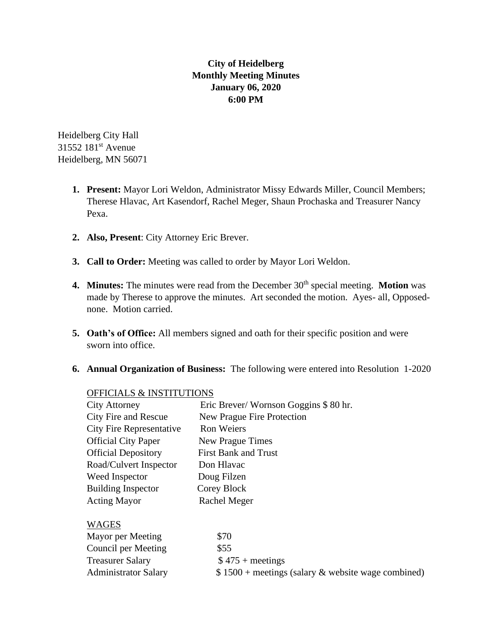# **City of Heidelberg Monthly Meeting Minutes January 06, 2020 6:00 PM**

Heidelberg City Hall 31552 181st Avenue Heidelberg, MN 56071

- **1. Present:** Mayor Lori Weldon, Administrator Missy Edwards Miller, Council Members; Therese Hlavac, Art Kasendorf, Rachel Meger, Shaun Prochaska and Treasurer Nancy Pexa.
- **2. Also, Present**: City Attorney Eric Brever.
- **3. Call to Order:** Meeting was called to order by Mayor Lori Weldon.
- **4. Minutes:** The minutes were read from the December 30<sup>th</sup> special meeting. **Motion** was made by Therese to approve the minutes. Art seconded the motion. Ayes- all, Opposednone. Motion carried.
- **5. Oath's of Office:** All members signed and oath for their specific position and were sworn into office.
- **6. Annual Organization of Business:** The following were entered into Resolution 1-2020

### OFFICIALS & INSTITUTIONS

| <b>City Attorney</b>            | Eric Brever/Wornson Goggins \$80 hr.                |
|---------------------------------|-----------------------------------------------------|
| City Fire and Rescue            | New Prague Fire Protection                          |
| <b>City Fire Representative</b> | <b>Ron Weiers</b>                                   |
| <b>Official City Paper</b>      | New Prague Times                                    |
| <b>Official Depository</b>      | <b>First Bank and Trust</b>                         |
| Road/Culvert Inspector          | Don Hlavac                                          |
| Weed Inspector                  | Doug Filzen                                         |
| <b>Building Inspector</b>       | Corey Block                                         |
| <b>Acting Mayor</b>             | Rachel Meger                                        |
| <b>WAGES</b>                    |                                                     |
| Mayor per Meeting               | \$70                                                |
| Council per Meeting             | \$55                                                |
| <b>Treasurer Salary</b>         | $$475 + meetings$                                   |
| <b>Administrator Salary</b>     | $$1500 + meetings$ (salary & website wage combined) |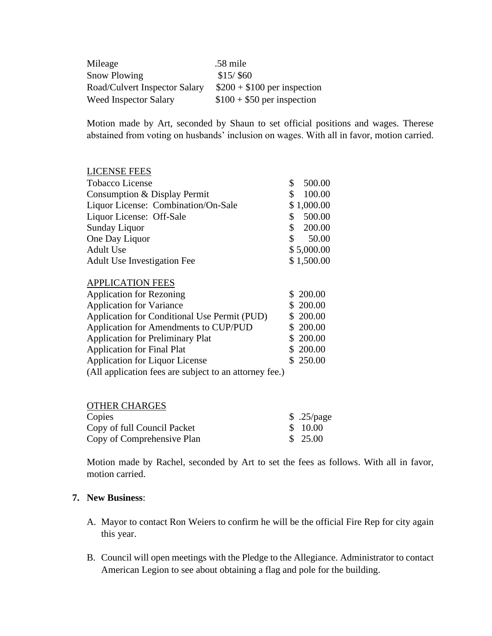| Mileage                       | .58 mile                     |
|-------------------------------|------------------------------|
| <b>Snow Plowing</b>           | $$15/$ \$60                  |
| Road/Culvert Inspector Salary | $$200 + $100$ per inspection |
| <b>Weed Inspector Salary</b>  | $$100 + $50$ per inspection  |

Motion made by Art, seconded by Shaun to set official positions and wages. Therese abstained from voting on husbands' inclusion on wages. With all in favor, motion carried.

#### LICENSE FEES

| Tobacco License                     | 500.00      |
|-------------------------------------|-------------|
| Consumption & Display Permit        | 100.00<br>S |
| Liquor License: Combination/On-Sale | \$1,000.00  |
| Liquor License: Off-Sale            | 500.00<br>S |
| Sunday Liquor                       | 200.00<br>S |
| One Day Liquor                      | 50.00<br>S. |
| Adult Use                           | \$5,000.00  |
| <b>Adult Use Investigation Fee</b>  | \$1,500.00  |

#### APPLICATION FEES

| <b>Application for Rezoning</b>                        | \$200.00  |
|--------------------------------------------------------|-----------|
| <b>Application for Variance</b>                        | \$200.00  |
| Application for Conditional Use Permit (PUD)           | \$ 200.00 |
| Application for Amendments to CUP/PUD                  | \$200.00  |
| <b>Application for Preliminary Plat</b>                | \$ 200.00 |
| <b>Application for Final Plat</b>                      | \$200.00  |
| Application for Liquor License                         | \$250.00  |
| (All application fees are subject to an attorney fee.) |           |

| <b>OTHER CHARGES</b>        |            |
|-----------------------------|------------|
| Copies                      | \$.25/page |
| Copy of full Council Packet | \$ 10.00   |
| Copy of Comprehensive Plan  | \$25.00    |

Motion made by Rachel, seconded by Art to set the fees as follows. With all in favor, motion carried.

#### **7. New Business**:

- A. Mayor to contact Ron Weiers to confirm he will be the official Fire Rep for city again this year.
- B. Council will open meetings with the Pledge to the Allegiance. Administrator to contact American Legion to see about obtaining a flag and pole for the building.